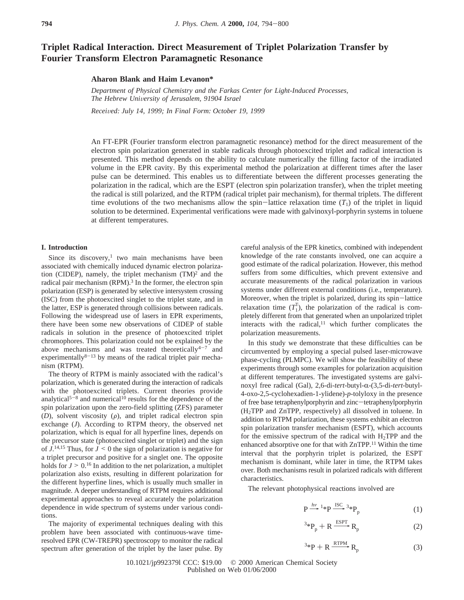# **Triplet Radical Interaction. Direct Measurement of Triplet Polarization Transfer by Fourier Transform Electron Paramagnetic Resonance**

**Aharon Blank and Haim Levanon\***

*Department of Physical Chemistry and the Farkas Center for Light-Induced Processes, The Hebrew Uni*V*ersity of Jerusalem, 91904 Israel*

*Recei*V*ed: July 14, 1999; In Final Form: October 19, 1999*

An FT-EPR (Fourier transform electron paramagnetic resonance) method for the direct measurement of the electron spin polarization generated in stable radicals through photoexcited triplet and radical interaction is presented. This method depends on the ability to calculate numerically the filling factor of the irradiated volume in the EPR cavity. By this experimental method the polarization at different times after the laser pulse can be determined. This enables us to differentiate between the different processes generating the polarization in the radical, which are the ESPT (electron spin polarization transfer), when the triplet meeting the radical is still polarized, and the RTPM (radical triplet pair mechanism), for thermal triplets. The different time evolutions of the two mechanisms allow the spin-lattice relaxation time  $(T_1)$  of the triplet in liquid solution to be determined. Experimental verifications were made with galvinoxyl-porphyrin systems in toluene at different temperatures.

## **I. Introduction**

Since its discovery, $\frac{1}{1}$  two main mechanisms have been associated with chemically induced dynamic electron polarization (CIDEP), namely, the triplet mechanism  $(TM)^2$  and the radical pair mechanism (RPM).<sup>3</sup> In the former, the electron spin polarization (ESP) is generated by selective intersystem crossing (ISC) from the photoexcited singlet to the triplet state, and in the latter, ESP is generated through collisions between radicals. Following the widespread use of lasers in EPR experiments, there have been some new observations of CIDEP of stable radicals in solution in the presence of photoexcited triplet chromophores. This polarization could not be explained by the above mechanisms and was treated theoretically $4-7$  and experimentally $8-13$  by means of the radical triplet pair mechanism (RTPM).

The theory of RTPM is mainly associated with the radical's polarization, which is generated during the interaction of radicals with the photoexcited triplets. Current theories provide analytical<sup>5-8</sup> and numerical<sup>10</sup> results for the dependence of the spin polarization upon the zero-field splitting (ZFS) parameter  $(D)$ , solvent viscosity  $(\rho)$ , and triplet radical electron spin exchange (*J*). According to RTPM theory, the observed net polarization, which is equal for all hyperfine lines, depends on the precursor state (photoexcited singlet or triplet) and the sign of  $J<sup>14,15</sup>$  Thus, for  $J \le 0$  the sign of polarization is negative for a simplet precursor and positive for a singlet one. The opposite a triplet precursor and positive for a singlet one. The opposite holds for  $J \geq 0$ .<sup>16</sup> In addition to the net polarization, a multiplet polarization also exists, resulting in different polarization for the different hyperfine lines, which is usually much smaller in magnitude. A deeper understanding of RTPM requires additional experimental approaches to reveal accurately the polarization dependence in wide spectrum of systems under various conditions.

The majority of experimental techniques dealing with this problem have been associated with continuous-wave timeresolved EPR (CW-TREPR) spectroscopy to monitor the radical spectrum after generation of the triplet by the laser pulse. By

careful analysis of the EPR kinetics, combined with independent knowledge of the rate constants involved, one can acquire a good estimate of the radical polarization. However, this method suffers from some difficulties, which prevent extensive and accurate measurements of the radical polarization in various systems under different external conditions (i.e., temperature). Moreover, when the triplet is polarized, during its spin-lattice relaxation time  $(T_1^T)$ , the polarization of the radical is completely different from that generated when an unpolarized triplet interacts with the radical, $11$  which further complicates the polarization measurements.

In this study we demonstrate that these difficulties can be circumvented by employing a special pulsed laser-microwave phase-cycling (PLMPC). We will show the feasibility of these experiments through some examples for polarization acquisition at different temperatures. The investigated systems are galvinoxyl free radical (Gal), 2,6-di-*tert*-butyl-α-(3,5-di-*tert*-butyl-4-oxo-2,5-cyclohexadien-1-ylidene)-*p*-tolyloxy in the presence of free base tetraphenylporphyrin and zinc-tetraphenylporphyrin (H2TPP and ZnTPP, respectively) all dissolved in toluene. In addition to RTPM polarization, these systems exhibit an electron spin polarization transfer mechanism (ESPT), which accounts for the emissive spectrum of the radical with  $H_2TPP$  and the enhanced absorptive one for that with ZnTPP.11 Within the time interval that the porphyrin triplet is polarized, the ESPT mechanism is dominant, while later in time, the RTPM takes over. Both mechanisms result in polarized radicals with different characteristics.

The relevant photophysical reactions involved are

$$
P \xrightarrow{hv} {}^{1*}P \xrightarrow{ISC} {}^{3*}P_p
$$
  
\n
$$
{}^{3*}P + R \xrightarrow{ESPT} R
$$
 (1)

$$
P \xrightarrow{hv} {}^{1*}P \xrightarrow{ISC} {}^{3*}P_p
$$
\n
$$
{}^{3*}P_p + R \xrightarrow{ESPT} R_p
$$
\n
$$
{}^{3*}P + R \xrightarrow{RTPM} R_p
$$
\n(3)

$$
{}^{3}P + R \xrightarrow{RTPM} R_p \tag{3}
$$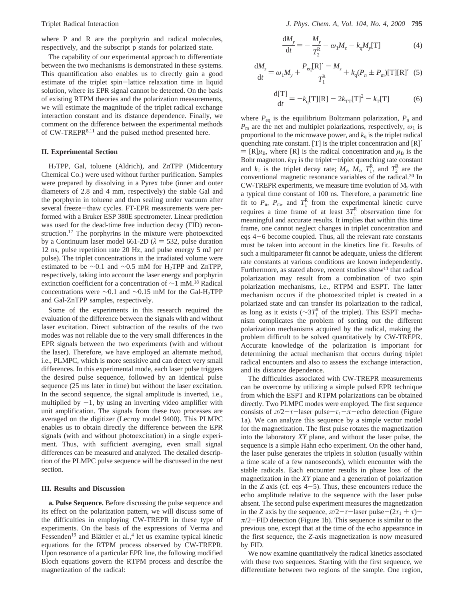where P and R are the porphyrin and radical molecules, respectively, and the subscript p stands for polarized state.

The capability of our experimental approach to differentiate between the two mechanisms is demonstrated in these systems. This quantification also enables us to directly gain a good estimate of the triplet spin-lattice relaxation time in liquid solution, where its EPR signal cannot be detected. On the basis of existing RTPM theories and the polarization measurements, we will estimate the magnitude of the triplet radical exchange interaction constant and its distance dependence. Finally, we comment on the difference between the experimental methods of CW-TREPR8,11 and the pulsed method presented here.

#### **II. Experimental Section**

H2TPP, Gal, toluene (Aldrich), and ZnTPP (Midcentury Chemical Co.) were used without further purification. Samples were prepared by dissolving in a Pyrex tube (inner and outer diameters of 2.8 and 4 mm, respectively) the stable Gal and the porphyrin in toluene and then sealing under vacuum after several freeze-thaw cycles. FT-EPR measurements were performed with a Bruker ESP 380E spectrometer. Linear prediction was used for the dead-time free induction decay (FID) reconstruction.<sup>17</sup> The porphyrins in the mixture were photoexcited by a Continuum laser model 661-2D ( $\lambda$  = 532, pulse duration 12 ns, pulse repetition rate 20 Hz, and pulse energy 5 mJ per pulse). The triplet concentrations in the irradiated volume were estimated to be ∼0.1 and ∼0.5 mM for H2TPP and ZnTPP, respectively, taking into account the laser energy and porphyrin extinction coefficient for a concentration of ∼1 mM.18 Radical concentrations were ∼0.1 and ∼0.15 mM for the Gal-H<sub>2</sub>TPP and Gal-ZnTPP samples, respectively.

Some of the experiments in this research required the evaluation of the difference between the signals with and without laser excitation. Direct subtraction of the results of the two modes was not reliable due to the very small differences in the EPR signals between the two experiments (with and without the laser). Therefore, we have employed an alternate method, i.e., PLMPC, which is more sensitive and can detect very small differences. In this experimental mode, each laser pulse triggers the desired pulse sequence, followed by an identical pulse sequence (25 ms later in time) but without the laser excitation. In the second sequence, the signal amplitude is inverted, i.e., multiplied by  $-1$ , by using an inverting video amplifier with unit amplification. The signals from these two processes are averaged on the digitizer (Lecroy model 9400). This PLMPC enables us to obtain directly the difference between the EPR signals (with and without photoexcitation) in a single experiment. Thus, with sufficient averaging, even small signal differences can be measured and analyzed. The detailed description of the PLMPC pulse sequence will be discussed in the next section.

## **III. Results and Discussion**

**a. Pulse Sequence.** Before discussing the pulse sequence and its effect on the polarization pattern, we will discuss some of the difficulties in employing CW-TREPR in these type of experiments. On the basis of the expressions of Verma and Fessenden<sup>19</sup> and Blättler et al.,<sup>4</sup> let us examine typical kinetic equations for the RTPM process observed by CW-TREPR. Upon resonance of a particular EPR line, the following modified Bloch equations govern the RTPM process and describe the magnetization of the radical:

$$
\frac{dM_y}{dt} = -\frac{M_y}{T_2^R} - \omega_1 M_z - k_q M_y[T]
$$
 (4)

$$
\frac{dM_z}{dt} = \omega_1 M_y + \frac{P_{eq}[R]'}{T_1^R} + k_q (P_n \pm P_m)[T][R]'
$$
 (5)

$$
\frac{d[T]}{dt} = -k_q[T][R] - 2k_{TT}[T]^2 - k_T[T]
$$
 (6)

where  $P_{eq}$  is the equilibrium Boltzmann polarization,  $P_n$  and  $P<sub>m</sub>$  are the net and multiplet polarizations, respectively,  $\omega_1$  is proportional to the microwave power, and  $k_q$  is the triplet radical quenching rate constant. [T] is the triplet concentration and [R]′  $=$  [R] $\mu_B$ , where [R] is the radical concentration and  $\mu_B$  is the Bohr magneton.  $k_{TT}$  is the triplet-triplet quenching rate constant and  $k_T$  is the triplet decay rate;  $M_y$ ,  $M_z$ ,  $T_1^R$ , and  $T_2^R$  are the conventional magnetic resonance variables of the radical.20 In CW-TREPR experiments, we measure time evolution of M*<sup>y</sup>* with a typical time constant of 100 ns. Therefore, a parametric line fit to  $P_{\text{n}}$ ,  $P_{\text{m}}$ , and  $T_1^R$  from the experimental kinetic curve requires a time frame of at least  $3T_1^R$  observation time for meaningful and accurate results. It implies that within this time frame, one cannot neglect changes in triplet concentration and eqs 4-6 become coupled. Thus, all the relevant rate constants must be taken into account in the kinetics line fit. Results of such a multiparameter fit cannot be adequate, unless the different rate constants at various conditions are known independently. Furthermore, as stated above, recent studies show<sup>11</sup> that radical polarization may result from a combination of two spin polarization mechanisms, i.e., RTPM and ESPT. The latter mechanism occurs if the photoexcited triplet is created in a polarized state and can transfer its polarization to the radical, as long as it exists ( $\sim 3T_1^R$  of the triplet). This ESPT mechanism complicates the problem of sorting out the different polarization mechanisms acquired by the radical, making the problem difficult to be solved quantitatively by CW-TREPR. Accurate knowledge of the polarization is important for determining the actual mechanism that occurs during triplet radical encounters and also to assess the exchange interaction, and its distance dependence.

The difficulties associated with CW-TREPR measurements can be overcome by utilizing a simple pulsed EPR technique from which the ESPT and RTPM polarizations can be obtained directly. Two PLMPC modes were employed. The first sequence consists of  $\pi/2 - \tau$ -laser pulse- $\tau_1 - \pi$ -echo detection (Figure 1a). We can analyze this sequence by a simple vector model for the magnetization. The first pulse rotates the magnetization into the laboratory *XY* plane, and without the laser pulse, the sequence is a simple Hahn echo experiment. On the other hand, the laser pulse generates the triplets in solution (usually within a time scale of a few nanoseconds), which encounter with the stable radicals. Each encounter results in phase loss of the magnetization in the *XY* plane and a generation of polarization in the *Z* axis (cf. eqs  $4-5$ ). Thus, these encounters reduce the echo amplitude relative to the sequence with the laser pulse absent. The second pulse experiment measures the magnetization in the *Z* axis by the sequence,  $\pi/2 - \tau$ -laser pulse- $(2\tau_1 + \tau)$ *<sup>π</sup>*/2-FID detection (Figure 1b). This sequence is similar to the previous one, except that at the time of the echo appearance in the first sequence, the *Z*-axis magnetization is now measured by FID.

We now examine quantitatively the radical kinetics associated with these two sequences. Starting with the first sequence, we differentiate between two regions of the sample. One region,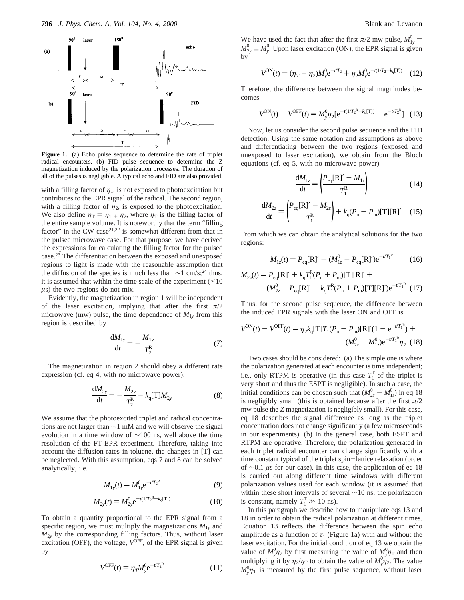

Figure 1. (a) Echo pulse sequence to determine the rate of triplet radical encounters. (b) FID pulse sequence to determine the Z magnetization induced by the polarization processes. The duration of all of the pulses is negligible. A typical echo and FID are also provided.

with a filling factor of  $\eta_1$ , is not exposed to photoexcitation but contributes to the EPR signal of the radical. The second region, with a filling factor of  $\eta_2$ , is exposed to the photoexcitation. We also define  $\eta_T = \eta_{1} + \eta_2$ , where  $\eta_T$  is the filling factor of the entire sample volume. It is noteworthy that the term "filling factor" in the CW case<sup>21,22</sup> is somewhat different from that in the pulsed microwave case. For that purpose, we have derived the expressions for calculating the filling factor for the pulsed case.23 The differentiation between the exposed and unexposed regions to light is made with the reasonable assumption that the diffusion of the species is much less than  $\sim$ 1 cm/s;<sup>24</sup> thus, it is assumed that within the time scale of the experiment  $($  < 10 *µ*s) the two regions do not mix.

Evidently, the magnetization in region 1 will be independent of the laser excitation, implying that after the first  $\pi/2$ microwave (mw) pulse, the time dependence of  $M_{1y}$  from this region is described by

$$
\frac{dM_{1y}}{dt} = -\frac{M_{1y}}{T_2^R} \tag{7}
$$

The magnetization in region 2 should obey a different rate expression (cf. eq 4, with no microwave power):

$$
\frac{dM_{2y}}{dt} = -\frac{M_{2y}}{T_2^R} - k_q[T]M_{2y}
$$
 (8)

We assume that the photoexcited triplet and radical concentrations are not larger than ∼1 mM and we will observe the signal evolution in a time window of ∼100 ns, well above the time resolution of the FT-EPR experiment. Therefore, taking into account the diffusion rates in toluene, the changes in [T] can be neglected. With this assumption, eqs 7 and 8 can be solved analytically, i.e.

$$
M_{1y}(t) = M_{1y}^{0} e^{-t/T_{2}^{R}}
$$
 (9)

$$
M_{2y}(t) = M_{2y}^{0} e^{-t(1/T_2^R + k_q[T])}
$$
 (10)

To obtain a quantity proportional to the EPR signal from a specific region, we must multiply the magnetizations  $M_{1y}$  and  $M_{2y}$  by the corresponding filling factors. Thus, without laser excitation (OFF), the voltage,  $V^{\text{OFF}}$ , of the EPR signal is given by

$$
V^{\text{OFF}}(t) = \eta_T M_y^0 e^{-t/T_2^R}
$$
 (11)

We have used the fact that after the first  $\pi/2$  mw pulse,  $M_{1y}^0$  $M_{2y}^0 \equiv M_y^0$ . Upon laser excitation (ON), the EPR signal is given by

$$
V^{\rm ON}(t) = (\eta_T - \eta_2) M_y^0 e^{-t/T_2} + \eta_2 M_y^0 e^{-t(1/T_2 + k_q[T])} \quad (12)
$$

Therefore, the difference between the signal magnitudes becomes

$$
V^{\rm ON}(t) - V^{\rm OFF}(t) = M_y^0 \eta_2 [e^{-t(1/T_2^{\rm R} + k_q[T])} - e^{-t/T_2^{\rm R}}] \tag{13}
$$

Now, let us consider the second pulse sequence and the FID detection. Using the same notation and assumptions as above and differentiating between the two regions (exposed and unexposed to laser excitation), we obtain from the Bloch equations (cf. eq 5, with no microwave power)

$$
\frac{dM_{1z}}{dt} = \left(\frac{P_{\text{eq}}[R]'}{T_1^R}\right) \tag{14}
$$

$$
\frac{dM_{2z}}{dt} = \left(\frac{P_{\text{eq}}[R]'}{T_1^R}\right) + k_q(P_n \pm P_m)[T][R]'
$$
 (15)

From which we can obtain the analytical solutions for the two regions:

$$
M_{1z}(t) = P_{\text{eq}}[\text{R}]' + (M_{1z}^0 - P_{\text{eq}}[\text{R}]')e^{-t/T_1^R}
$$
 (16)

$$
M_{2z}(t) = P_{\text{eq}}[\text{R}]' + k_{q}T_{1}^{R}(P_{\text{n}} \pm P_{\text{m}})[\text{T}][\text{R}]' +
$$
  

$$
(M_{2z}^{0} - P_{\text{eq}}[\text{R}]' - k_{q}T_{1}^{R}(P_{\text{n}} \pm P_{\text{m}})[\text{T}][\text{R}]')e^{-t/T_{1}^{R}}
$$
(17)

Thus, for the second pulse sequence, the difference between the induced EPR signals with the laser ON and OFF is

$$
V^{\text{ON}}(t) - V^{\text{OFF}}(t) = \eta_2 k_q [\text{T}] T_1 (P_n \pm P_m) [\text{R}]'(1 - e^{-t/T_1^R}) +
$$
  

$$
(M_{2z}^0 - M_{1z}^0) e^{-t/T_1^R} \eta_2 \tag{18}
$$

Two cases should be considered: (a) The simple one is where the polarization generated at each encounter is time independent; i.e., only RTPM is operative (in this case  $T_1^T$  of the triplet is very short and thus the ESPT is negligible). In such a case, the initial conditions can be chosen such that  $(M_{2z}^0 - M_{1z}^0)$  in eq 18<br>is negligibly small (this is obtained because after the first  $\pi/2$ is negligibly small (this is obtained because after the first  $\pi/2$ mw pulse the *Z* magnetization is negligibly small). For this case, eq 18 describes the signal difference as long as the triplet concentration does not change significantly (a few microseconds in our experiments). (b) In the general case, both ESPT and RTPM are operative. Therefore, the polarization generated in each triplet radical encounter can change significantly with a time constant typical of the triplet spin-lattice relaxation (order of ∼0.1 *µ*s for our case). In this case, the application of eq 18 is carried out along different time windows with different polarization values used for each window (it is assumed that within these short intervals of several ∼10 ns, the polarization is constant, namely  $T_1^T \gg 10$  ns).<br>In this paragraph we describe b

In this paragraph we describe how to manipulate eqs 13 and 18 in order to obtain the radical polarization at different times. Equation 13 reflects the difference between the spin echo amplitude as a function of  $\tau_1$  (Figure 1a) with and without the laser excitation. For the initial condition of eq 13 we obtain the value of  $M_y^0 \eta_2$  by first measuring the value of  $M_y^0 \eta_T$  and then multiplying it by  $\eta_2/\eta_\text{T}$  to obtain the value of  $M_\text{y}^0/\eta_2$ . The value  $M_{y}^{0}\eta$ <sub>T</sub> is measured by the first pulse sequence, without laser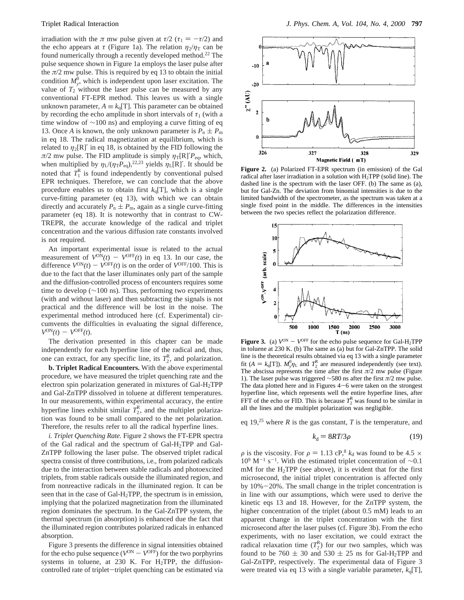irradiation with the  $\pi$  mw pulse given at  $\tau/2$  ( $\tau_1 = -\tau/2$ ) and the echo appears at  $\tau$  (Figure 1a). The relation  $\eta_2/\eta_{\rm T}$  can be found numerically through a recently developed method.<sup>22</sup> The pulse sequence shown in Figure 1a employs the laser pulse after the  $\pi/2$  mw pulse. This is required by eq 13 to obtain the initial condition  $M_{y}^{0}$ , which is independent upon laser excitation. The value of  $T_2$  without the laser pulse can be measured by any conventional FT-EPR method. This leaves us with a single unknown parameter,  $A \equiv k_q[T]$ . This parameter can be obtained by recording the echo amplitude in short intervals of  $\tau_1$  (with a time window of ∼100 ns) and employing a curve fitting of eq 13. Once *A* is known, the only unknown parameter is  $P_n \pm P_m$ in eq 18. The radical magnetization at equilibrium, which is related to  $\eta_2[R]$ <sup>'</sup> in eq 18, is obtained by the FID following the  $\pi/2$  mw pulse. The FID amplitude is simply  $\eta_T[R]/P_{eq}$ , which, when multiplied by  $\eta_L/(\eta_T P_{eq})$ ,<sup>22,23</sup> yields  $\eta_L[R]$ . It should be noted that  $T_1^R$  is found independently by conventional pulsed EPR techniques. Therefore, we can conclude that the above procedure enables us to obtain first  $k_q[T]$ , which is a single curve-fitting parameter (eq 13), with which we can obtain directly and accurately  $P_n \pm P_m$ , again as a single curve-fitting parameter (eq 18). It is noteworthy that in contrast to CW-TREPR, the accurate knowledge of the radical and triplet concentration and the various diffusion rate constants involved is not required.

An important experimental issue is related to the actual measurement of  $V^{\text{ON}}(t) - V^{\text{OFF}}(t)$  in eq 13. In our case, the difference  $V^{ON}(t) - V^{OFF}(t)$  is on the order of  $V^{OFF}/100$ . This is due to the fact that the laser illuminates only part of the sample and the diffusion-controlled process of encounters requires some time to develop (∼100 ns). Thus, performing two experiments (with and without laser) and then subtracting the signals is not practical and the difference will be lost in the noise. The experimental method introduced here (cf. Experimental) circumvents the difficulties in evaluating the signal difference,  $V^{ON}(t) - V^{OFF}(t)$ .

The derivation presented in this chapter can be made independently for each hyperfine line of the radical and, thus, one can extract, for any specific line, its  $T_2^R$ , and polarization.

**b. Triplet Radical Encounters.** With the above experimental procedure, we have measured the triplet quenching rate and the electron spin polarization generated in mixtures of Gal-H2TPP and Gal-ZnTPP dissolved in toluene at different temperatures. In our measurements, within experimental accuracy, the entire hyperfine lines exhibit similar  $T_2^R$ , and the multiplet polarization was found to be small compared to the net polarization. Therefore, the results refer to all the radical hyperfine lines.

*i. Triplet Quenching Rate.* Figure 2 shows the FT-EPR spectra of the Gal radical and the spectrum of  $Gal-H_2TPP$  and  $Gal-H_2TPP$ ZnTPP following the laser pulse. The observed triplet radical spectra consist of three contributions, i.e., from polarized radicals due to the interaction between stable radicals and photoexcited triplets, from stable radicals outside the illuminated region, and from nonreactive radicals in the illuminated region. It can be seen that in the case of Gal-H2TPP, the spectrum is in emission, implying that the polarized magnetization from the illuminated region dominates the spectrum. In the Gal-ZnTPP system, the thermal spectrum (in absorption) is enhanced due the fact that the illuminated region contributes polarized radicals in enhanced absorption.

Figure 3 presents the difference in signal intensities obtained for the echo pulse sequence  $(V^{ON} - V^{OFF})$  for the two porphyrins systems in toluene, at 230 K. For  $H_2$ TPP, the diffusioncontrolled rate of triplet-triplet quenching can be estimated via



**Figure 2.** (a) Polarized FT-EPR spectrum (in emission) of the Gal radical after laser irradiation in a solution with H2TPP (solid line). The dashed line is the spectrum with the laser OFF. (b) The same as (a), but for Gal-Zn. The deviation from binomial intensities is due to the limited bandwidth of the spectrometer, as the spectrum was taken at a single fixed point in the middle. The differences in the intensities between the two species reflect the polarization difference.



**Figure 3.** (a)  $V^{ON} - V^{OFF}$  for the echo pulse sequence for Gal-H<sub>2</sub>TPP in toluene at 230 K. (b) The same as (a) but for Gal-ZnTPP. The solid line is the theoretical results obtained via eq 13 with a single parameter fit  $(A = k_q[T])$ .  $M_y^0 \eta_L$  and  $T_2^R$  are measured independently (see text).<br>The abscissa represents the time after the first  $\pi/2$  mw pulse (Figure The abscissa represents the time after the first  $\pi/2$  mw pulse (Figure 1). The laser pulse was triggered ∼580 ns after the first *π*/2 mw pulse. The data plotted here and in Figures  $4-6$  were taken on the strongest hyperfine line, which represents well the entire hyperfine lines, after FFT of the echo or FID. This is because  $T_2^R$  was found to be similar in all the lines and the multiplet polarization was negligible.

eq 19,<sup>25</sup> where *R* is the gas constant, *T* is the temperature, and

$$
k_{\rm d} = 8RT/3\rho \tag{19}
$$

 $\rho$  is the viscosity. For  $\rho = 1.13 \text{ cP}^3$ ,  $k_d$  was found to be 4.5  $\times$  $10^9$  M<sup>-1</sup> s<sup>-1</sup>. With the estimated triplet concentration of ∼0.1  $mM$  for the H<sub>2</sub>TPP (see above), it is evident that for the first microsecond, the initial triplet concentration is affected only by 10%-20%. The small change in the triplet concentration is in line with our assumptions, which were used to derive the kinetic eqs 13 and 18. However, for the ZnTPP system, the higher concentration of the triplet (about 0.5 mM) leads to an apparent change in the triplet concentration with the first microsecond after the laser pulses (cf. Figure 3b). From the echo experiments, with no laser excitation, we could extract the radical relaxation time  $(T_2^R)$  for our two samples, which was found to be 760  $\pm$  30 and 530  $\pm$  25 ns for Gal-H<sub>2</sub>TPP and Gal-ZnTPP, respectively. The experimental data of Figure 3 were treated via eq 13 with a single variable parameter,  $k_q$ [T],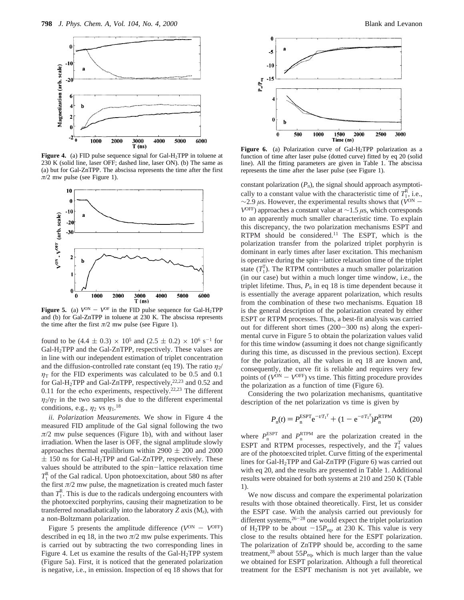

**Figure 4.** (a) FID pulse sequence signal for Gal-H<sub>2</sub>TPP in toluene at 230 K (solid line, laser OFF; dashed line, laser ON). (b) The same as (a) but for Gal-ZnTPP. The abscissa represents the time after the first  $\pi/2$  mw pulse (see Figure 1).



**Figure 5.** (a)  $V^{ON} - V^{OF}$  in the FID pulse sequence for Gal-H<sub>2</sub>TPP and (b) for Gal-ZnTPP in toluene at 230 K. The abscissa represents the time after the first  $\pi/2$  mw pulse (see Figure 1).

found to be  $(4.4 \pm 0.3) \times 10^5$  and  $(2.5 \pm 0.2) \times 10^6$  s<sup>-1</sup> for Gal-H2TPP and the Gal-ZnTPP, respectively. These values are in line with our independent estimation of triplet concentration and the diffusion-controlled rate constant (eq 19). The ratio  $\eta_2$ /  $\eta$ <sup>T</sup> for the FID experiments was calculated to be 0.5 and 0.1 for Gal-H<sub>2</sub>TPP and Gal-ZnTPP, respectively,<sup>22,23</sup> and 0.52 and 0.11 for the echo experiments, respectively.<sup>22,23</sup> The different  $\eta_2/\eta_{\rm T}$  in the two samples is due to the different experimental conditions, e.g.,  $\eta_2$  vs  $\eta_1$ .<sup>18</sup>

*ii. Polarization Measurements.* We show in Figure 4 the measured FID amplitude of the Gal signal following the two  $\pi/2$  mw pulse sequences (Figure 1b), with and without laser irradiation. When the laser is OFF, the signal amplitude slowly approaches thermal equilibrium within 2900  $\pm$  200 and 2000  $\pm$  150 ns for Gal-H<sub>2</sub>TPP and Gal-ZnTPP, respectively. These values should be attributed to the spin-lattice relaxation time  $T_1^R$  of the Gal radical. Upon photoexcitation, about 580 ns after the first  $\pi/2$  mw pulse, the magnetization is created much faster than  $T_1^R$ . This is due to the radicals undergoing encounters with the photoexcited porphyrins, causing their magnetization to be transferred nonadiabatically into the laboratory  $Z$  axis  $(M_z)$ , with a non-Boltzmann polarization.

Figure 5 presents the amplitude difference ( $V^{ON} - V^{OFF}$ ) described in eq 18, in the two  $\pi/2$  mw pulse experiments. This is carried out by subtracting the two corresponding lines in Figure 4. Let us examine the results of the Gal-H<sub>2</sub>TPP system (Figure 5a). First, it is noticed that the generated polarization is negative, i.e., in emission. Inspection of eq 18 shows that for



Figure 6. (a) Polarization curve of Gal-H<sub>2</sub>TPP polarization as a function of time after laser pulse (dotted curve) fitted by eq 20 (solid line). All the fitting parameters are given in Table 1. The abscissa represents the time after the laser pulse (see Figure 1).

constant polarization  $(P_n)$ , the signal should approach asymptotically to a constant value with the characteristic time of  $T_1^R$ , i.e., <sup>∼</sup>2.9 *<sup>µ</sup>*s. However, the experimental results shows that (*V*ON - *V*OFF) approaches a constant value at ∼1.5 *µ*s, which corresponds to an apparently much smaller characteristic time. To explain this discrepancy, the two polarization mechanisms ESPT and RTPM should be considered.11 The ESPT, which is the polarization transfer from the polarized triplet porphyrin is dominant in early times after laser excitation. This mechanism is operative during the spin-lattice relaxation time of the triplet state  $(T_1^T)$ . The RTPM contributes a much smaller polarization (in our case) but within a much longer time window, i.e., the triplet lifetime. Thus,  $P_n$  in eq 18 is time dependent because it is essentially the average apparent polarization, which results from the combination of these two mechanisms. Equation 18 is the general description of the polarization created by either ESPT or RTPM processes. Thus, a best-fit analysis was carried out for different short times (200-300 ns) along the experimental curve in Figure 5 to obtain the polarization values valid for this time window (assuming it does not change significantly during this time, as discussed in the previous section). Except for the polarization, all the values in eq 18 are known and, consequently, the curve fit is reliable and requires very few points of  $(V^{ON} - V^{OFF})$  vs time. This fitting procedure provides the polarization as a function of time (Figure 6).

Considering the two polarization mechanisms, quantitative description of the net polarization vs time is given by

$$
P_{n}(t) = P_{n}^{\text{ESPT}} e^{-t/T_{1}^{T}} + (1 - e^{-t/T_{1}^{T}}) P_{n}^{\text{RTPM}}
$$
 (20)

where  $P_n^{\text{ESPT}}$  and  $P_n^{\text{RTPM}}$  are the polarization created in the ESPT and RTPM processes, respectively, and the  $T_1^T$  values are of the photoexcited triplet. Curve fitting of the experimental lines for Gal-H2TPP and Gal-ZnTPP (Figure 6) was carried out with eq 20, and the results are presented in Table 1. Additional results were obtained for both systems at 210 and 250 K (Table 1).

We now discuss and compare the experimental polarization results with those obtained theoretically. First, let us consider the ESPT case. With the analysis carried out previously for different systems,<sup>26-28</sup> one would expect the triplet polarization of H<sub>2</sub>TPP to be about  $-15P_{eq}$ , at 230 K. This value is very close to the results obtained here for the ESPT polarization. The polarization of ZnTPP should be, according to the same treatment,<sup>28</sup> about 55 $P_{eq}$ , which is much larger than the value we obtained for ESPT polarization. Although a full theoretical treatment for the ESPT mechanism is not yet available, we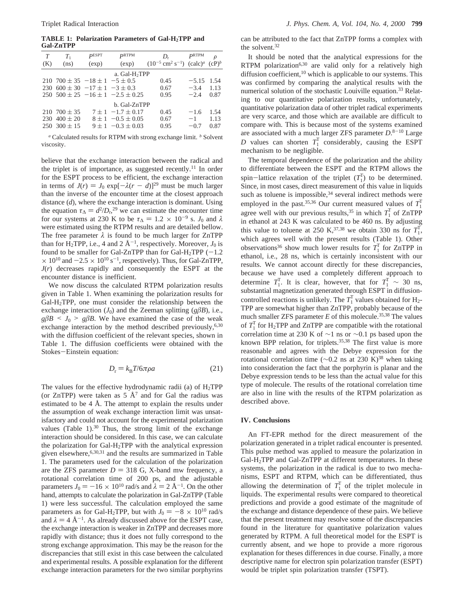**TABLE 1: Polarization Parameters of Gal-H2TPP and Gal-ZnTPP**

| T                         | $T_{1}$                                     | <b>PESPT</b> | $P_{\rm RTPM}$                              | D.                                                     | P <sub>RTPM</sub> | ρ        |
|---------------------------|---------------------------------------------|--------------|---------------------------------------------|--------------------------------------------------------|-------------------|----------|
| (K)                       | (ns)                                        | (exp)        | (exp)                                       | $(10^{-5}$ cm <sup>2</sup> s <sup>-1</sup> ) $(calc)a$ |                   | $(CP)^b$ |
| a. Gal-H <sub>2</sub> TPP |                                             |              |                                             |                                                        |                   |          |
|                           | $210$ 700 $\pm$ 35 $-18 \pm 1$ $-5 \pm 0.5$ |              |                                             | 0.45                                                   | $-5.15$           | -1.54    |
|                           | 230 600 $\pm$ 30 $-17 \pm 1$ $-3 \pm 0.3$   |              |                                             | 0.67                                                   | $-3.4$            | 1.13     |
|                           |                                             |              | $250, 500 \pm 25, -16 \pm 1, -2.5 \pm 0.25$ | 0.95                                                   | $-2.4$            | 0.87     |
| b. Gal-ZnTPP              |                                             |              |                                             |                                                        |                   |          |
|                           | $210,700 \pm 35$                            |              | $7 \pm 1$ -1.7 $\pm$ 0.17                   | 0.45                                                   | $-1.6$            | 1.54     |
| 230                       | $400 \pm 20$                                |              | $8 \pm 1$ - 0.5 $\pm$ 0.05                  | 0.67                                                   | $-1$              | 1.13     |
|                           | $250 \cdot 300 \pm 15$                      |              | $9 \pm 1$ -0.3 $\pm$ 0.03                   | 0.95                                                   | $-0.7$            | 0.87     |
|                           |                                             |              |                                             |                                                        |                   |          |

*<sup>a</sup>* Calculated results for RTPM with strong exchange limit. *<sup>b</sup>* Solvent viscosity.

believe that the exchange interaction between the radical and the triplet is of importance, as suggested recently.<sup>11</sup> In order for the ESPT process to be efficient, the exchange interaction in terms of  $J(r) = J_0 \exp[-\lambda (r - d)]^{29}$  must be much larger than the inverse of the encounter time at the closest approach distance (*d*), where the exchange interaction is dominant. Using the equation  $\tau_{\Delta} = d^2/D_r$ , <sup>29</sup> we can estimate the encounter time<br>for our systems at 230 K to be  $\tau_{\Delta} = 1.2 \times 10^{-9}$  s. *L* and  $\lambda$ for our systems at 230 K to be  $\tau_{\Delta} = 1.2 \times 10^{-9}$  s. *J*<sub>0</sub> and  $\lambda$ were estimated using the RTPM results and are detailed bellow. The free parameter  $\lambda$  is found to be much larger for ZnTPP than for H<sub>2</sub>TPP, i.e., 4 and 2  $\rm \AA^{-1}$ , respectively. Moreover, *J*<sub>0</sub> is found to be smaller for Gal-ZnTPP than for Gal-H<sub>2</sub>TPP (-1.2) found to be smaller for Gal-ZnTPP than for Gal-H<sub>2</sub>TPP (-1.2<br> $\times$  10<sup>10</sup> and -2.5  $\times$  10<sup>10</sup> s<sup>-1</sup> respectively). Thus for Gal-ZnTPP  $\times$  10<sup>10</sup> and  $-2.5 \times 10^{10}$  s<sup>-1</sup>, respectively). Thus, for Gal-ZnTPP,<br>*I(r)* decreases rapidly and consequently the ESPT at the *J*(*r*) decreases rapidly and consequently the ESPT at the encounter distance is inefficient.

We now discuss the calculated RTPM polarization results given in Table 1. When examining the polarization results for Gal-H2TPP, one must consider the relationship between the exchange interaction  $(J_0)$  and the Zeeman splitting  $(g\beta B)$ , i.e.,  $g\beta B \leq J_0$  >  $g\beta B$ . We have examined the case of the weak exchange interaction by the method described previously, $6,30$ with the diffusion coefficient of the relevant species, shown in Table 1. The diffusion coefficients were obtained with the Stokes-Einstein equation:

$$
D_{\rm r} = k_{\rm B} T / 6\pi \rho a \tag{21}
$$

The values for the effective hydrodynamic radii (a) of  $H_2$ TPP (or ZnTPP) were taken as  $5 \text{ Å}^7$  and for Gal the radius was estimated to be 4 Å. The attempt to explain the results under the assumption of weak exchange interaction limit was unsatisfactory and could not account for the experimental polarization values (Table  $1$ ).<sup>30</sup> Thus, the strong limit of the exchange interaction should be considered. In this case, we can calculate the polarization for Gal-H2TPP with the analytical expression given elsewhere,6,30,31 and the results are summarized in Table 1. The parameters used for the calculation of the polarization are the ZFS parameter  $D = 318$  G, X-band mw frequency, a rotational correlation time of 200 ps, and the adjustable parameters  $J_0 = -16 \times 10^{10}$  rad/s and  $\lambda = 2$  Å<sup>-1</sup>. On the other hand, attempts to calculate the polarization in Gal-ZnTPP (Table 1) were less successful. The calculation employed the same parameters as for Gal-H<sub>2</sub>TPP, but with  $J_0 = -8 \times 10^{10}$  rad/s and  $\lambda = 4 \text{ Å}^{-1}$ . As already discussed above for the ESPT case, the exchange interaction is weaker in ZnTPP and decreases more rapidly with distance; thus it does not fully correspond to the strong exchange approximation. This may be the reason for the discrepancies that still exist in this case between the calculated and experimental results. A possible explanation for the different exchange interaction parameters for the two similar porphyrins

can be attributed to the fact that ZnTPP forms a complex with the solvent.32

It should be noted that the analytical expressions for the RTPM polarization<sup>6,30</sup> are valid only for a relatively high diffusion coefficient,<sup>10</sup> which is applicable to our systems. This was confirmed by comparing the analytical results with the numerical solution of the stochastic Louiville equation.<sup>33</sup> Relating to our quantitative polarization results, unfortunately, quantitative polarization data of other triplet radical experiments are very scarce, and those which are available are difficult to compare with. This is because most of the systems examined are associated with a much larger ZFS parameter *D*. <sup>8</sup>-<sup>10</sup> Large *D* values can shorten  $T_1^T$  considerably, causing the ESPT mechanism to be negligible.

The temporal dependence of the polarization and the ability to differentiate between the ESPT and the RTPM allows the spin-lattice relaxation of the triplet  $(T_1^T)$  to be determined.<br>Since in most cases direct measurement of this value in liquids Since, in most cases, direct measurement of this value in liquids such as toluene is impossible, $34$  several indirect methods were employed in the past.<sup>35,36</sup> Our current measured values of  $T_1^T$ agree well with our previous results,<sup>35</sup> in which  $T_1^T$  of ZnTPP in ethanol at 243 K was calculated to be 460 ns. By adjusting this value to toluene at 250 K,<sup>37,38</sup> we obtain 330 ns for  $T_1^T$ , which agrees well with the present results (Table 1). Other observations<sup>36</sup> show much lower results for  $T_1^T$  for ZnTPP in ethanol, i.e., 28 ns, which is certainly inconsistent with our results. We cannot account directly for these discrepancies, because we have used a completely different approach to determine  $T_1^T$ . It is clear, however, that for  $T_1^T \sim 30$  ns, substantial magnetization generated through ESPT in diffusioncontrolled reactions is unlikely. The  $T_1^T$  values obtained for  $H_2$ -TPP are somewhat higher than ZnTPP, probably because of the much smaller ZFS parameter  $E$  of this molecule.<sup>35,38</sup> The values of  $T_1^T$  for H<sub>2</sub>TPP and ZnTPP are compatible with the rotational correlation time at 230 K of ∼1 ns or ∼0.1 ps based upon the known BPP relation, for triplets.<sup>35,38</sup> The first value is more reasonable and agrees with the Debye expression for the rotational correlation time ( $\sim$ 0.2 ns at 230 K)<sup>38</sup> when taking into consideration the fact that the porphyrin is planar and the Debye expression tends to be less than the actual value for this type of molecule. The results of the rotational correlation time are also in line with the results of the RTPM polarization as described above.

## **IV. Conclusions**

An FT-EPR method for the direct measurement of the polarization generated in a triplet radical encounter is presented. This pulse method was applied to measure the polarization in Gal-H<sub>2</sub>TPP and Gal-ZnTPP at different temperatures. In these systems, the polarization in the radical is due to two mechanisms, ESPT and RTPM, which can be differentiated, thus allowing the determination of  $T_1^T$  of the triplet molecule in liquids. The experimental results were compared to theoretical predictions and provide a good estimate of the magnitude of the exchange and distance dependence of these pairs. We believe that the present treatment may resolve some of the discrepancies found in the literature for quantitative polarization values generated by RTPM. A full theoretical model for the ESPT is currently absent, and we hope to provide a more rigorous explanation for theses differences in due course. Finally, a more descriptive name for electron spin polarization transfer (ESPT) would be triplet spin polarization transfer (TSPT).